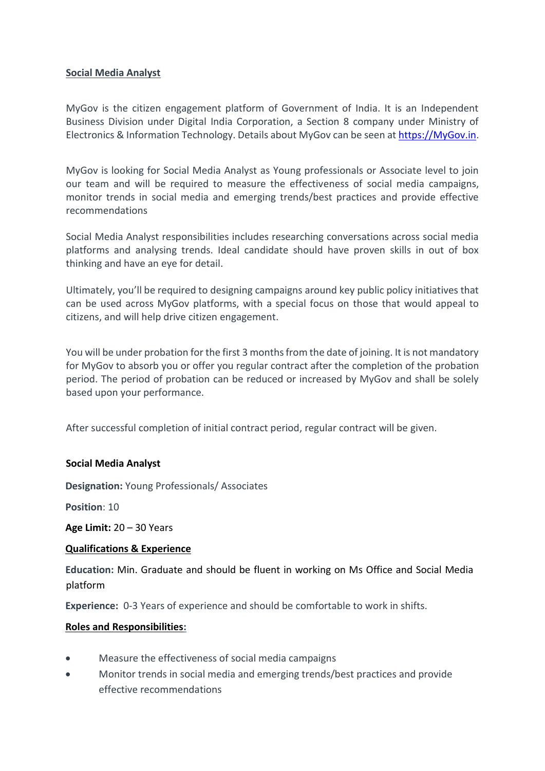## **Social Media Analyst**

MyGov is the citizen engagement platform of Government of India. It is an Independent Business Division under Digital India Corporation, a Section 8 company under Ministry of Electronics & Information Technology. Details about MyGov can be seen at [https://MyGov.in.](https://mygov.in/)

MyGov is looking for Social Media Analyst as Young professionals or Associate level to join our team and will be required to measure the effectiveness of social media campaigns, monitor trends in social media and emerging trends/best practices and provide effective recommendations

Social Media Analyst responsibilities includes researching conversations across social media platforms and analysing trends. Ideal candidate should have proven skills in out of box thinking and have an eye for detail.

Ultimately, you'll be required to designing campaigns around key public policy initiatives that can be used across MyGov platforms, with a special focus on those that would appeal to citizens, and will help drive citizen engagement.

You will be under probation for the first 3 months from the date of joining. It is not mandatory for MyGov to absorb you or offer you regular contract after the completion of the probation period. The period of probation can be reduced or increased by MyGov and shall be solely based upon your performance.

After successful completion of initial contract period, regular contract will be given.

### **Social Media Analyst**

**Designation:** Young Professionals/ Associates

**Position**: 10

**Age Limit:** 20 – 30 Years

### **Qualifications & Experience**

**Education:** Min. Graduate and should be fluent in working on Ms Office and Social Media platform

**Experience:** 0-3 Years of experience and should be comfortable to work in shifts.

### **Roles and Responsibilities:**

- Measure the effectiveness of social media campaigns
- Monitor trends in social media and emerging trends/best practices and provide effective recommendations